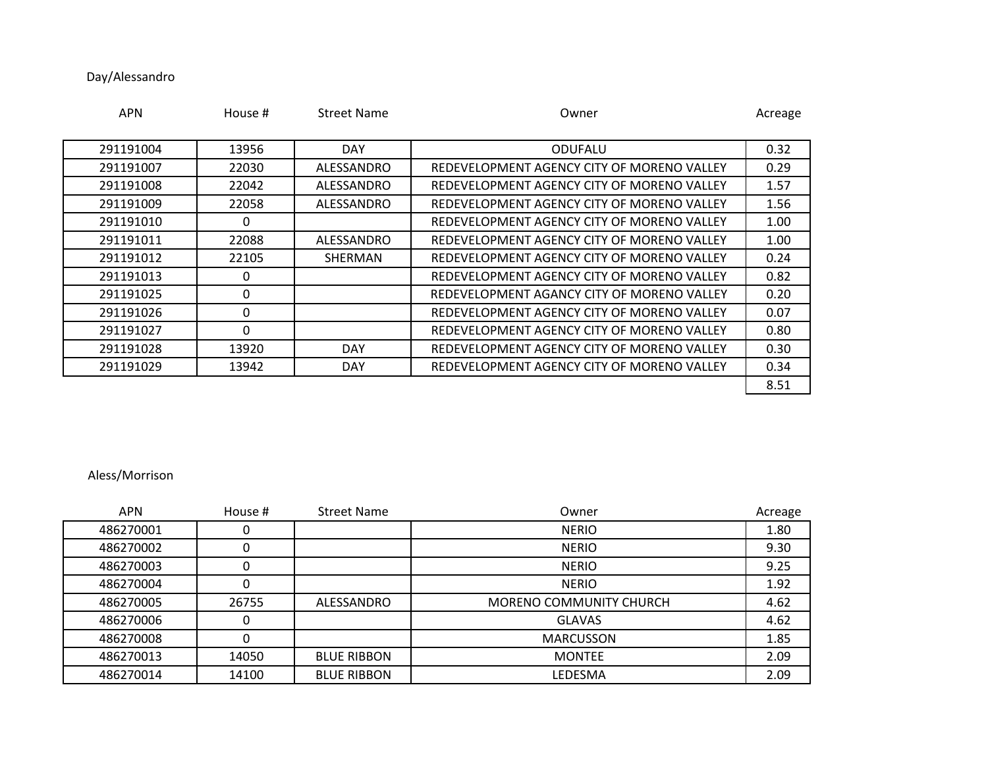## Day/Alessandro

| <b>APN</b> | House #  | <b>Street Name</b> | Owner                                      | Acreage |
|------------|----------|--------------------|--------------------------------------------|---------|
|            |          |                    |                                            |         |
| 291191004  | 13956    | <b>DAY</b>         | <b>ODUFALU</b>                             | 0.32    |
| 291191007  | 22030    | ALESSANDRO         | REDEVELOPMENT AGENCY CITY OF MORENO VALLEY | 0.29    |
| 291191008  | 22042    | ALESSANDRO         | REDEVELOPMENT AGENCY CITY OF MORENO VALLEY | 1.57    |
| 291191009  | 22058    | ALESSANDRO         | REDEVELOPMENT AGENCY CITY OF MORENO VALLEY | 1.56    |
| 291191010  | 0        |                    | REDEVELOPMENT AGENCY CITY OF MORENO VALLEY | 1.00    |
| 291191011  | 22088    | ALESSANDRO         | REDEVELOPMENT AGENCY CITY OF MORENO VALLEY | 1.00    |
| 291191012  | 22105    | SHERMAN            | REDEVELOPMENT AGENCY CITY OF MORENO VALLEY | 0.24    |
| 291191013  | 0        |                    | REDEVELOPMENT AGENCY CITY OF MORENO VALLEY | 0.82    |
| 291191025  | 0        |                    | REDEVELOPMENT AGANCY CITY OF MORENO VALLEY | 0.20    |
| 291191026  | $\Omega$ |                    | REDEVELOPMENT AGENCY CITY OF MORENO VALLEY | 0.07    |
| 291191027  | $\Omega$ |                    | REDEVELOPMENT AGENCY CITY OF MORENO VALLEY | 0.80    |
| 291191028  | 13920    | <b>DAY</b>         | REDEVELOPMENT AGENCY CITY OF MORENO VALLEY | 0.30    |
| 291191029  | 13942    | <b>DAY</b>         | REDEVELOPMENT AGENCY CITY OF MORENO VALLEY | 0.34    |
|            |          |                    |                                            | 8.51    |

## Aless/Morrison

| <b>APN</b> | House # | <b>Street Name</b> | Owner                          | Acreage |
|------------|---------|--------------------|--------------------------------|---------|
| 486270001  | U       |                    | <b>NERIO</b>                   | 1.80    |
| 486270002  | 0       |                    | <b>NERIO</b>                   | 9.30    |
| 486270003  | 0       |                    | <b>NERIO</b>                   | 9.25    |
| 486270004  | 0       |                    | <b>NERIO</b>                   | 1.92    |
| 486270005  | 26755   | ALESSANDRO         | <b>MORENO COMMUNITY CHURCH</b> | 4.62    |
| 486270006  | 0       |                    | <b>GLAVAS</b>                  | 4.62    |
| 486270008  | 0       |                    | <b>MARCUSSON</b>               | 1.85    |
| 486270013  | 14050   | <b>BLUE RIBBON</b> | <b>MONTEE</b>                  | 2.09    |
| 486270014  | 14100   | <b>BLUE RIBBON</b> | <b>LEDESMA</b>                 | 2.09    |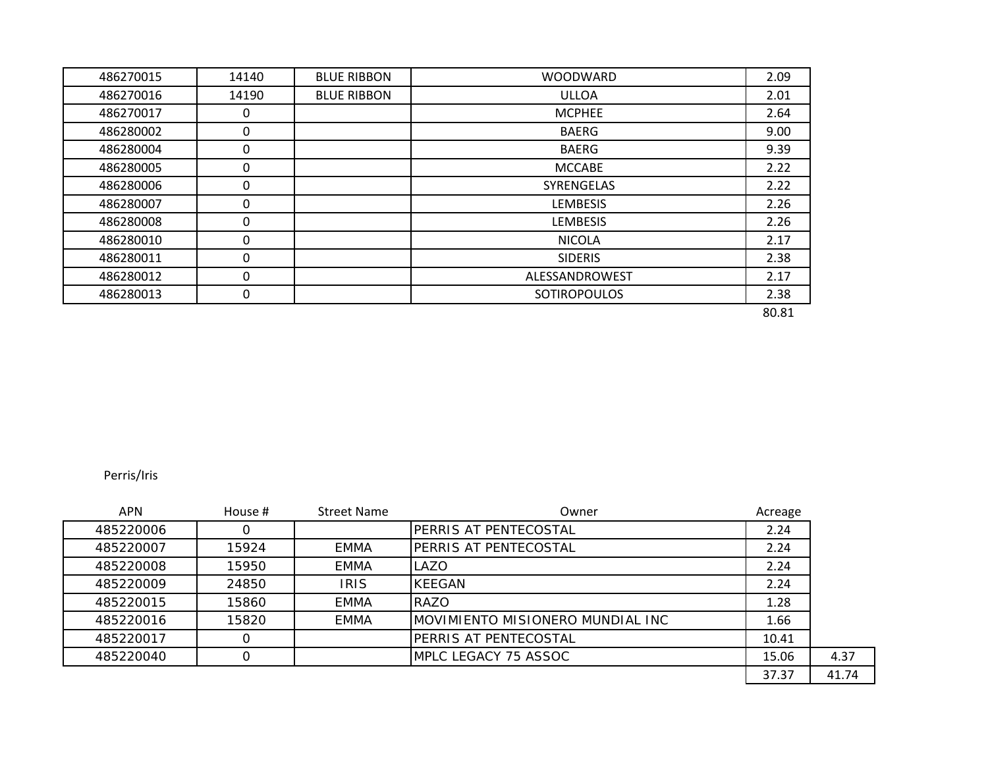| 486270015 | 14140 | <b>BLUE RIBBON</b> | <b>WOODWARD</b>     | 2.09  |
|-----------|-------|--------------------|---------------------|-------|
| 486270016 | 14190 | <b>BLUE RIBBON</b> | <b>ULLOA</b>        | 2.01  |
| 486270017 | 0     |                    | <b>MCPHEE</b>       | 2.64  |
| 486280002 | 0     |                    | <b>BAERG</b>        | 9.00  |
| 486280004 | 0     |                    | <b>BAERG</b>        | 9.39  |
| 486280005 | 0     |                    | <b>MCCABE</b>       | 2.22  |
| 486280006 | 0     |                    | <b>SYRENGELAS</b>   | 2.22  |
| 486280007 | 0     |                    | <b>LEMBESIS</b>     | 2.26  |
| 486280008 | 0     |                    | <b>LEMBESIS</b>     | 2.26  |
| 486280010 | 0     |                    | <b>NICOLA</b>       | 2.17  |
| 486280011 | 0     |                    | <b>SIDERIS</b>      | 2.38  |
| 486280012 | 0     |                    | ALESSANDROWEST      | 2.17  |
| 486280013 | 0     |                    | <b>SOTIROPOULOS</b> | 2.38  |
|           |       |                    |                     | 80.81 |

Perris/Iris

| <b>APN</b> | House # | <b>Street Name</b> | Owner                            | Acreage |       |
|------------|---------|--------------------|----------------------------------|---------|-------|
| 485220006  |         |                    | <b>PERRIS AT PENTECOSTAL</b>     | 2.24    |       |
| 485220007  | 15924   | EMMA               | <b>IPERRIS AT PENTECOSTAL</b>    | 2.24    |       |
| 485220008  | 15950   | <b>EMMA</b>        | ILAZO                            | 2.24    |       |
| 485220009  | 24850   | <b>IRIS</b>        | <b>KEEGAN</b>                    | 2.24    |       |
| 485220015  | 15860   | <b>EMMA</b>        | RAZO                             | 1.28    |       |
| 485220016  | 15820   | <b>EMMA</b>        | MOVIMIENTO MISIONERO MUNDIAL INC | 1.66    |       |
| 485220017  |         |                    | <b>PERRIS AT PENTECOSTAL</b>     | 10.41   |       |
| 485220040  |         |                    | MPLC LEGACY 75 ASSOC             | 15.06   | 4.37  |
|            |         |                    |                                  | 37.37   | 41.74 |